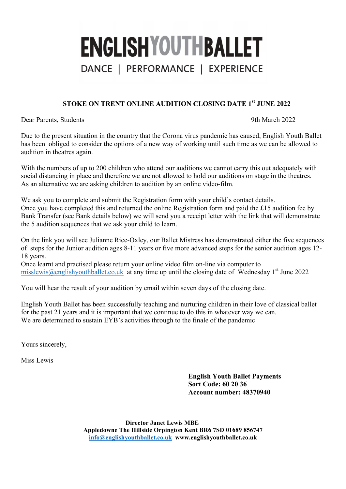# **ENGLISHYOUTHBALLET** DANCE | PERFORMANCE | EXPERIENCE

### **STOKE ON TRENT ONLINE AUDITION CLOSING DATE 1st JUNE 2022**

Dear Parents, Students 9th March 2022

Due to the present situation in the country that the Corona virus pandemic has caused, English Youth Ballet has been obliged to consider the options of a new way of working until such time as we can be allowed to audition in theatres again.

With the numbers of up to 200 children who attend our auditions we cannot carry this out adequately with social distancing in place and therefore we are not allowed to hold our auditions on stage in the theatres. As an alternative we are asking children to audition by an online video-film.

We ask you to complete and submit the Registration form with your child's contact details. Once you have completed this and returned the online Registration form and paid the £15 audition fee by Bank Transfer (see Bank details below) we will send you a receipt letter with the link that will demonstrate the 5 audition sequences that we ask your child to learn.

On the link you will see Julianne Rice-Oxley, our Ballet Mistress has demonstrated either the five sequences of steps for the Junior audition ages 8-11 years or five more advanced steps for the senior audition ages 12- 18 years.

Once learnt and practised please return your online video film on-line via computer to  $\frac{\text{misslewis}(a) \cdot \text{englishyouthballet.co.uk}}{\text{at any time up until the closing date of Wednesday 1st June 2022}}$ 

You will hear the result of your audition by email within seven days of the closing date.

English Youth Ballet has been successfully teaching and nurturing children in their love of classical ballet for the past 21 years and it is important that we continue to do this in whatever way we can. We are determined to sustain EYB's activities through to the finale of the pandemic

Yours sincerely,

Miss Lewis

**English Youth Ballet Payments Sort Code: 60 20 36 Account number: 48370940**

**Director Janet Lewis MBE Appledowne The Hillside Orpington Kent BR6 7SD 01689 856747 info@englishyouthballet.co.uk www.englishyouthballet.co.uk**